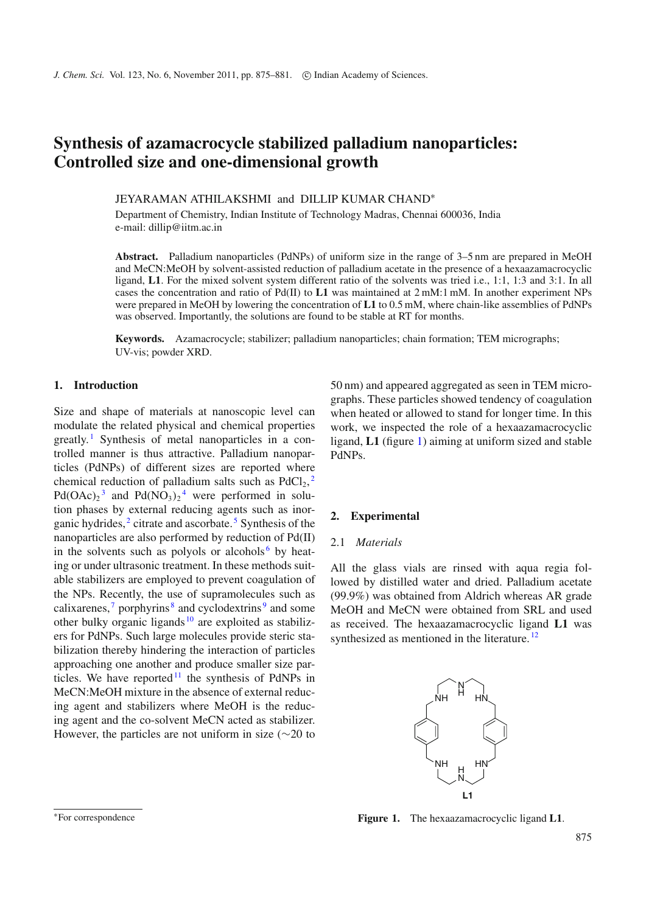# **Synthesis of azamacrocycle stabilized palladium nanoparticles: Controlled size and one-dimensional growth**

JEYARAMAN ATHILAKSHMI and DILLIP KUMAR CHAND<sup>∗</sup>

Department of Chemistry, Indian Institute of Technology Madras, Chennai 600036, India e-mail: dillip@iitm.ac.in

**Abstract.** Palladium nanoparticles (PdNPs) of uniform size in the range of 3–5 nm are prepared in MeOH and MeCN:MeOH by solvent-assisted reduction of palladium acetate in the presence of a hexaazamacrocyclic ligand, **L1**. For the mixed solvent system different ratio of the solvents was tried i.e., 1:1, 1:3 and 3:1. In all cases the concentration and ratio of Pd(II) to **L1** was maintained at 2 mM:1 mM. In another experiment NPs were prepared in MeOH by lowering the concentration of **L1** to 0.5 mM, where chain-like assemblies of PdNPs was observed. Importantly, the solutions are found to be stable at RT for months.

**Keywords.** Azamacrocycle; stabilizer; palladium nanoparticles; chain formation; TEM micrographs; UV-vis; powder XRD.

# **1. Introduction**

Size and shape of materials at nanoscopic level can modulate the related physical and chemical properties greatly. [1](#page-5-0) Synthesis of metal nanoparticles in a controlled manner is thus attractive. Palladium nanoparticles (PdNPs) of different sizes are reported where chemical reduction of palladium salts such as  $PdCl<sub>2</sub>$  $PdCl<sub>2</sub>$  $PdCl<sub>2</sub>$ ,<sup>2</sup>  $Pd(OAc)_2^3$  $Pd(OAc)_2^3$  and  $Pd(NO_3)_2^4$  $Pd(NO_3)_2^4$  were performed in solution phases by external reducing agents such as inorganic hydrides, $2$  citrate and ascorbate.<sup>[5](#page-5-4)</sup> Synthesis of the nanoparticles are also performed by reduction of Pd(II) in the solvents such as polyols or alcohols<sup>[6](#page-5-5)</sup> by heating or under ultrasonic treatment. In these methods suitable stabilizers are employed to prevent coagulation of the NPs. Recently, the use of supramolecules such as calixarenes,  $\frac{7}{7}$  $\frac{7}{7}$  $\frac{7}{7}$  porphyrins  $\frac{8}{7}$  $\frac{8}{7}$  $\frac{8}{7}$  and cyclodextrins  $\frac{9}{7}$  $\frac{9}{7}$  $\frac{9}{7}$  and some other bulky organic ligands  $10$  are exploited as stabilizers for PdNPs. Such large molecules provide steric stabilization thereby hindering the interaction of particles approaching one another and produce smaller size particles. We have reported  $11$  the synthesis of PdNPs in MeCN:MeOH mixture in the absence of external reducing agent and stabilizers where MeOH is the reducing agent and the co-solvent MeCN acted as stabilizer. However, the particles are not uniform in size ( $\sim$ 20 to

50 nm) and appeared aggregated as seen in TEM micrographs. These particles showed tendency of coagulation when heated or allowed to stand for longer time. In this work, we inspected the role of a hexaazamacrocyclic ligand, **L1** (figure [1\)](#page-0-0) aiming at uniform sized and stable PdNPs.

# **2. Experimental**

## 2.1 *Materials*

All the glass vials are rinsed with aqua regia followed by distilled water and dried. Palladium acetate (99.9%) was obtained from Aldrich whereas AR grade MeOH and MeCN were obtained from SRL and used as received. The hexaazamacrocyclic ligand **L1** was synthesized as mentioned in the literature.<sup>[12](#page-6-2)</sup>

<span id="page-0-0"></span>

**Figure 1.** The hexaazamacrocyclic ligand **L1**.

<sup>∗</sup>For correspondence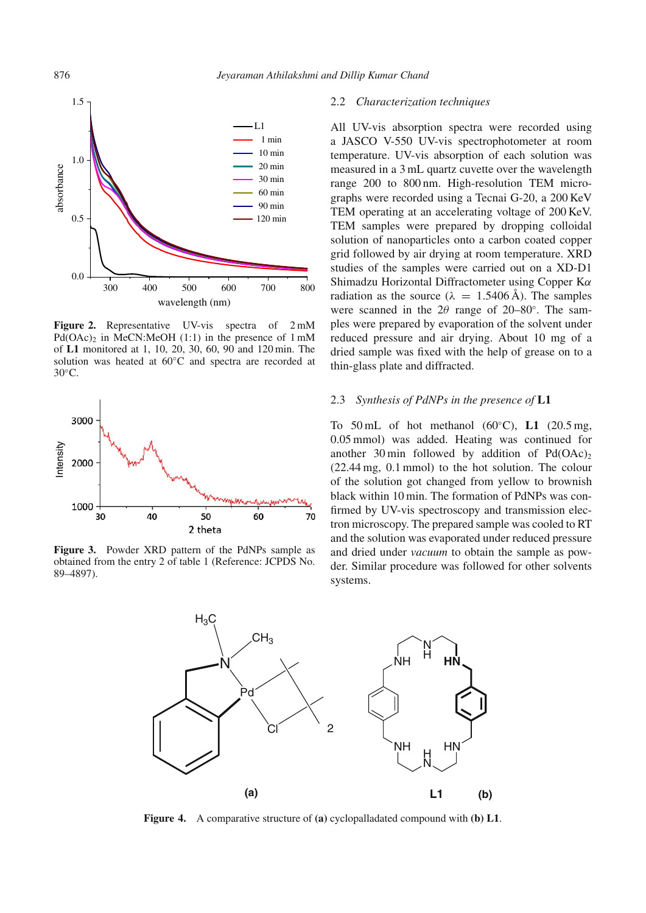<span id="page-1-0"></span>

Figure 2. Representative UV-vis spectra of 2 mM  $Pd(OAc)$ <sub>2</sub> in MeCN:MeOH (1:1) in the presence of 1 mM of **L1** monitored at 1, 10, 20, 30, 60, 90 and 120 min. The solution was heated at 60<sup>°</sup>C and spectra are recorded at 30<sup>°</sup>C.

<span id="page-1-1"></span>

<span id="page-1-2"></span>**Figure 3.** Powder XRD pattern of the PdNPs sample as obtained from the entry 2 of table 1 (Reference: JCPDS No. 89–4897).

#### 2.2 *Characterization techniques*

All UV-vis absorption spectra were recorded using a JASCO V-550 UV-vis spectrophotometer at room temperature. UV-vis absorption of each solution was measured in a 3 mL quartz cuvette over the wavelength range 200 to 800 nm. High-resolution TEM micrographs were recorded using a Tecnai G-20, a 200 KeV TEM operating at an accelerating voltage of 200 KeV. TEM samples were prepared by dropping colloidal solution of nanoparticles onto a carbon coated copper grid followed by air drying at room temperature. XRD studies of the samples were carried out on a XD-D1 Shimadzu Horizontal Diffractometer using Copper Kα radiation as the source ( $\lambda = 1.5406 \text{ Å}$ ). The samples were scanned in the  $2\theta$  range of  $20-80°$ . The samples were prepared by evaporation of the solvent under reduced pressure and air drying. About 10 mg of a dried sample was fixed with the help of grease on to a thin-glass plate and diffracted.

#### 2.3 *Synthesis of PdNPs in the presence of* **L1**

To 50 mL of hot methanol (60◦C), **L1** (20.5 mg, 0.05 mmol) was added. Heating was continued for another 30 min followed by addition of  $Pd(OAc)<sub>2</sub>$ (22.44 mg, 0.1 mmol) to the hot solution. The colour of the solution got changed from yellow to brownish black within 10 min. The formation of PdNPs was confirmed by UV-vis spectroscopy and transmission electron microscopy. The prepared sample was cooled to RT and the solution was evaporated under reduced pressure and dried under *vacuum* to obtain the sample as powder. Similar procedure was followed for other solvents systems.



**Figure 4.** A comparative structure of **(a)** cyclopalladated compound with **(b) L1**.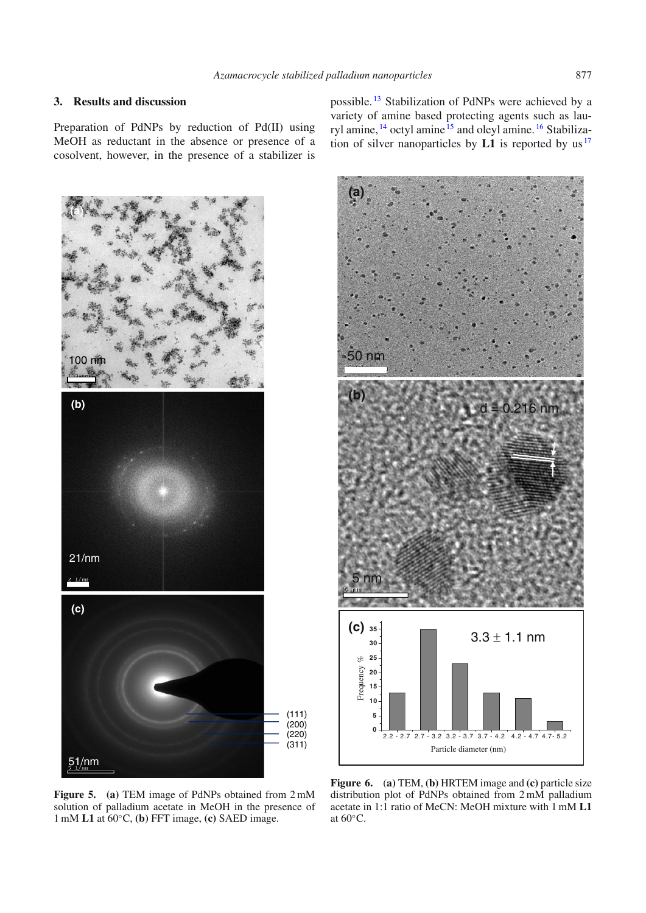# **3. Results and discussion**

Preparation of PdNPs by reduction of Pd(II) using MeOH as reductant in the absence or presence of a cosolvent, however, in the presence of a stabilizer is

<span id="page-2-0"></span>

possible. [13](#page-6-3) Stabilization of PdNPs were achieved by a variety of amine based protecting agents such as lauryl amine, [14](#page-6-4) octyl amine [15](#page-6-5) and oleyl amine. [16](#page-6-6) Stabilization of silver nanoparticles by  $L1$  is reported by us<sup>[17](#page-6-7)</sup>

<span id="page-2-1"></span>

**Figure 5. (a)** TEM image of PdNPs obtained from 2 mM solution of palladium acetate in MeOH in the presence of 1 mM **L1** at 60◦C, **(b)** FFT image, **(c)** SAED image.

**Figure 6.** (**a)** TEM, **(b)** HRTEM image and **(c)** particle size distribution plot of PdNPs obtained from 2 mM palladium acetate in 1:1 ratio of MeCN: MeOH mixture with 1 mM **L1** at 60◦C.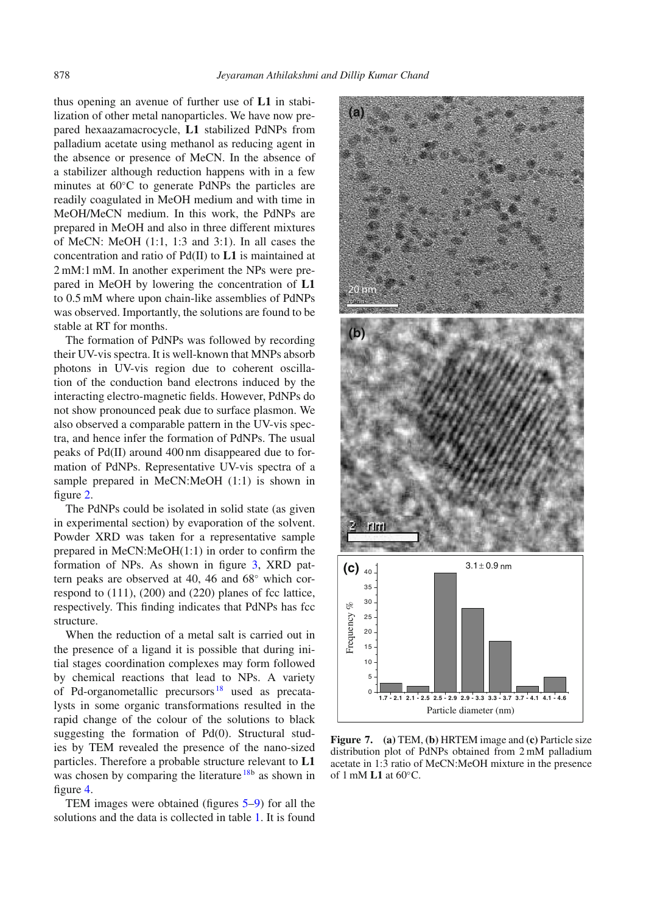thus opening an avenue of further use of **L1** in stabilization of other metal nanoparticles. We have now prepared hexaazamacrocycle, **L1** stabilized PdNPs from palladium acetate using methanol as reducing agent in the absence or presence of MeCN. In the absence of a stabilizer although reduction happens with in a few minutes at 60◦C to generate PdNPs the particles are readily coagulated in MeOH medium and with time in MeOH/MeCN medium. In this work, the PdNPs are prepared in MeOH and also in three different mixtures of MeCN: MeOH (1:1, 1:3 and 3:1). In all cases the concentration and ratio of Pd(II) to **L1** is maintained at 2 mM:1 mM. In another experiment the NPs were prepared in MeOH by lowering the concentration of **L1** to 0.5 mM where upon chain-like assemblies of PdNPs was observed. Importantly, the solutions are found to be stable at RT for months.

The formation of PdNPs was followed by recording their UV-vis spectra. It is well-known that MNPs absorb photons in UV-vis region due to coherent oscillation of the conduction band electrons induced by the interacting electro-magnetic fields. However, PdNPs do not show pronounced peak due to surface plasmon. We also observed a comparable pattern in the UV-vis spectra, and hence infer the formation of PdNPs. The usual peaks of Pd(II) around 400 nm disappeared due to formation of PdNPs. Representative UV-vis spectra of a sample prepared in MeCN:MeOH (1:1) is shown in figure [2.](#page-1-0)

The PdNPs could be isolated in solid state (as given in experimental section) by evaporation of the solvent. Powder XRD was taken for a representative sample prepared in MeCN:MeOH(1:1) in order to confirm the formation of NPs. As shown in figure [3,](#page-1-1) XRD pattern peaks are observed at 40, 46 and 68◦ which correspond to (111), (200) and (220) planes of fcc lattice, respectively. This finding indicates that PdNPs has fcc structure.

When the reduction of a metal salt is carried out in the presence of a ligand it is possible that during initial stages coordination complexes may form followed by chemical reactions that lead to NPs. A variety of Pd-organometallic precursors [18](#page-6-8) used as precatalysts in some organic transformations resulted in the rapid change of the colour of the solutions to black suggesting the formation of Pd(0). Structural studies by TEM revealed the presence of the nano-sized particles. Therefore a probable structure relevant to **L1** was chosen by comparing the literature  $18b$  $18b$  as shown in figure [4.](#page-1-2)

TEM images were obtained (figures [5](#page-2-0)[–9\)](#page-4-0) for all the solutions and the data is collected in table [1.](#page-5-9) It is found

<span id="page-3-0"></span>

**Figure 7. (a)** TEM, **(b)** HRTEM image and **(c)** Particle size distribution plot of PdNPs obtained from 2 mM palladium acetate in 1:3 ratio of MeCN:MeOH mixture in the presence of 1 mM **L1** at 60◦C.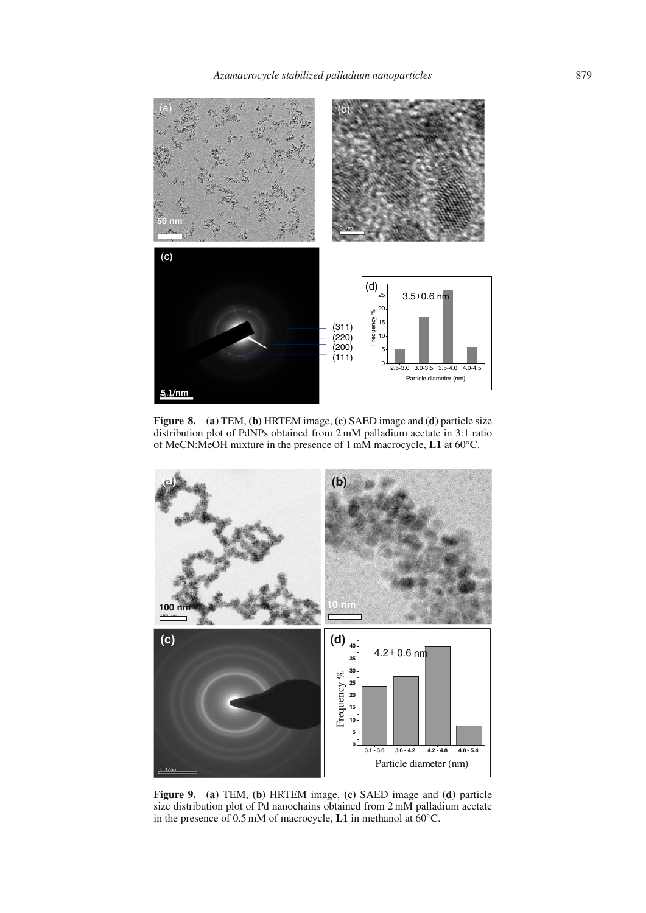<span id="page-4-1"></span>

**Figure 8. (a)** TEM, **(b)** HRTEM image, **(c)** SAED image and **(d)** particle size distribution plot of PdNPs obtained from 2 mM palladium acetate in 3:1 ratio of MeCN:MeOH mixture in the presence of 1 mM macrocycle, **L1** at 60◦C.

<span id="page-4-0"></span>

**Figure 9. (a)** TEM, **(b)** HRTEM image, **(c)** SAED image and **(d)** particle size distribution plot of Pd nanochains obtained from 2 mM palladium acetate in the presence of 0.5 mM of macrocycle, **L1** in methanol at 60◦C.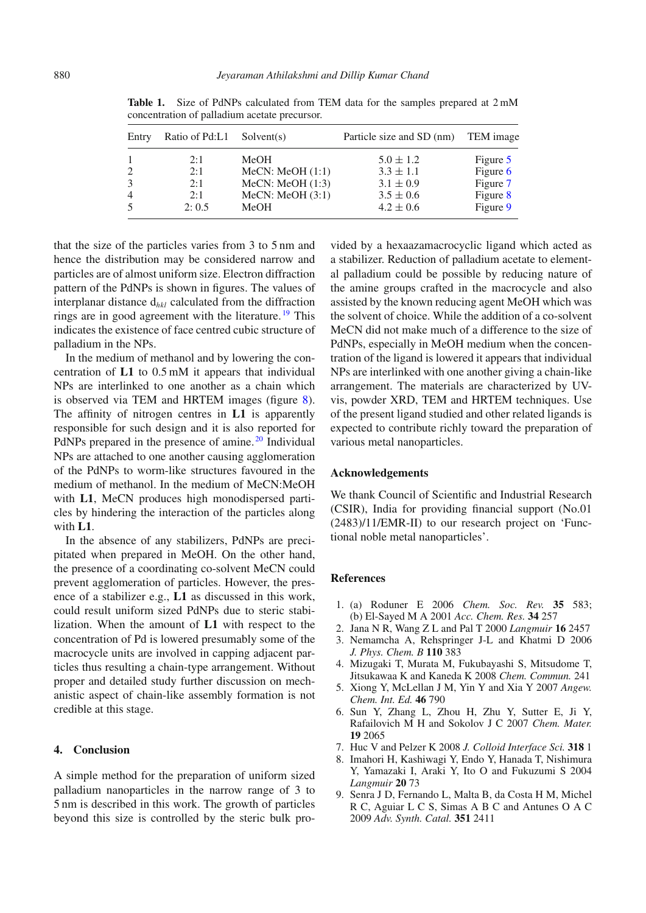| Entry          | Ratio of Pd:L1 Solvent(s) |                 | Particle size and SD (nm) | TEM image  |
|----------------|---------------------------|-----------------|---------------------------|------------|
| $\mathbf{1}$   | 2:1                       | MeOH            | $5.0 \pm 1.2$             | Figure 5   |
| 2              | 2:1                       | MeCN: MeOH(1:1) | $3.3 \pm 1.1$             | Figure $6$ |
| 3              | 2:1                       | MeCN: MeOH(1:3) | $3.1 \pm 0.9$             | Figure 7   |
| $\overline{4}$ | 2:1                       | MeCN: MeOH(3:1) | $3.5 \pm 0.6$             | Figure 8   |
| 5              | 2:0.5                     | MeOH            | $4.2 \pm 0.6$             | Figure 9   |

<span id="page-5-9"></span>**Table 1.** Size of PdNPs calculated from TEM data for the samples prepared at 2 mM concentration of palladium acetate precursor.

that the size of the particles varies from 3 to 5 nm and hence the distribution may be considered narrow and particles are of almost uniform size. Electron diffraction pattern of the PdNPs is shown in figures. The values of interplanar distance d*hkl* calculated from the diffraction rings are in good agreement with the literature.  $^{19}$  $^{19}$  $^{19}$  This indicates the existence of face centred cubic structure of palladium in the NPs.

In the medium of methanol and by lowering the concentration of **L1** to 0.5 mM it appears that individual NPs are interlinked to one another as a chain which is observed via TEM and HRTEM images (figure [8\)](#page-4-1). The affinity of nitrogen centres in **L1** is apparently responsible for such design and it is also reported for PdNPs prepared in the presence of amine.<sup>[20](#page-6-10)</sup> Individual NPs are attached to one another causing agglomeration of the PdNPs to worm-like structures favoured in the medium of methanol. In the medium of MeCN:MeOH with **L1**, MeCN produces high monodispersed particles by hindering the interaction of the particles along with **L1**.

In the absence of any stabilizers, PdNPs are precipitated when prepared in MeOH. On the other hand, the presence of a coordinating co-solvent MeCN could prevent agglomeration of particles. However, the presence of a stabilizer e.g., **L1** as discussed in this work, could result uniform sized PdNPs due to steric stabilization. When the amount of **L1** with respect to the concentration of Pd is lowered presumably some of the macrocycle units are involved in capping adjacent particles thus resulting a chain-type arrangement. Without proper and detailed study further discussion on mechanistic aspect of chain-like assembly formation is not credible at this stage.

#### **4. Conclusion**

A simple method for the preparation of uniform sized palladium nanoparticles in the narrow range of 3 to 5 nm is described in this work. The growth of particles beyond this size is controlled by the steric bulk pro-

vided by a hexaazamacrocyclic ligand which acted as a stabilizer. Reduction of palladium acetate to elemental palladium could be possible by reducing nature of the amine groups crafted in the macrocycle and also assisted by the known reducing agent MeOH which was the solvent of choice. While the addition of a co-solvent MeCN did not make much of a difference to the size of PdNPs, especially in MeOH medium when the concentration of the ligand is lowered it appears that individual NPs are interlinked with one another giving a chain-like arrangement. The materials are characterized by UVvis, powder XRD, TEM and HRTEM techniques. Use of the present ligand studied and other related ligands is expected to contribute richly toward the preparation of various metal nanoparticles.

## **Acknowledgements**

We thank Council of Scientific and Industrial Research (CSIR), India for providing financial support (No.01 (2483)/11/EMR-II) to our research project on 'Functional noble metal nanoparticles'.

# **References**

- <span id="page-5-0"></span>1. (a) Roduner E 2006 *Chem. Soc. Rev.* **35** 583; (b) El-Sayed M A 2001 *Acc. Chem. Res.* **34** 257
- <span id="page-5-1"></span>2. Jana N R, Wang Z L and Pal T 2000 *Langmuir* **16** 2457
- <span id="page-5-2"></span>3. Nemamcha A, Rehspringer J-L and Khatmi D 2006 *J. Phys. Chem. B* **110** 383
- <span id="page-5-3"></span>4. Mizugaki T, Murata M, Fukubayashi S, Mitsudome T, Jitsukawaa K and Kaneda K 2008 *Chem. Commun.* 241
- <span id="page-5-4"></span>5. Xiong Y, McLellan J M, Yin Y and Xia Y 2007 *Angew. Chem. Int. Ed.* **46** 790
- <span id="page-5-5"></span>6. Sun Y, Zhang L, Zhou H, Zhu Y, Sutter E, Ji Y, Rafailovich M H and Sokolov J C 2007 *Chem. Mater.* **19** 2065
- <span id="page-5-6"></span>7. Huc V and Pelzer K 2008 *J. Colloid Interface Sci.* **318** 1
- <span id="page-5-7"></span>8. Imahori H, Kashiwagi Y, Endo Y, Hanada T, Nishimura Y, Yamazaki I, Araki Y, Ito O and Fukuzumi S 2004 *Langmuir* **20** 73
- <span id="page-5-8"></span>9. Senra J D, Fernando L, Malta B, da Costa H M, Michel R C, Aguiar L C S, Simas A B C and Antunes O A C 2009 *Adv. Synth. Catal.* **351** 2411